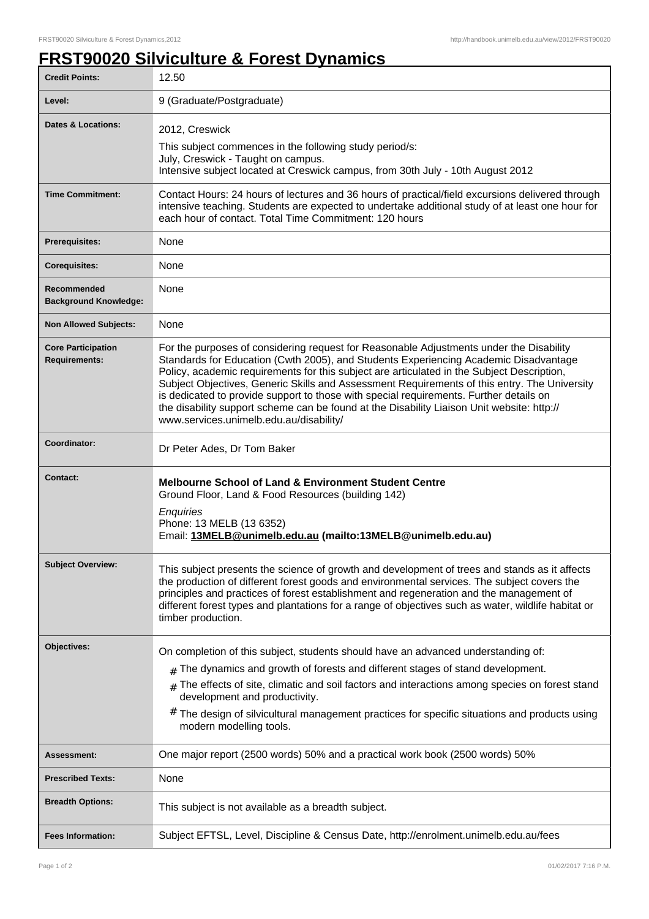## **FRST90020 Silviculture & Forest Dynamics**

| <b>Credit Points:</b>                             | 12.50                                                                                                                                                                                                                                                                                                                                                                                                                                                                                                                                                                                                            |
|---------------------------------------------------|------------------------------------------------------------------------------------------------------------------------------------------------------------------------------------------------------------------------------------------------------------------------------------------------------------------------------------------------------------------------------------------------------------------------------------------------------------------------------------------------------------------------------------------------------------------------------------------------------------------|
| Level:                                            | 9 (Graduate/Postgraduate)                                                                                                                                                                                                                                                                                                                                                                                                                                                                                                                                                                                        |
| <b>Dates &amp; Locations:</b>                     | 2012, Creswick                                                                                                                                                                                                                                                                                                                                                                                                                                                                                                                                                                                                   |
|                                                   | This subject commences in the following study period/s:<br>July, Creswick - Taught on campus.                                                                                                                                                                                                                                                                                                                                                                                                                                                                                                                    |
|                                                   | Intensive subject located at Creswick campus, from 30th July - 10th August 2012                                                                                                                                                                                                                                                                                                                                                                                                                                                                                                                                  |
| <b>Time Commitment:</b>                           | Contact Hours: 24 hours of lectures and 36 hours of practical/field excursions delivered through<br>intensive teaching. Students are expected to undertake additional study of at least one hour for<br>each hour of contact. Total Time Commitment: 120 hours                                                                                                                                                                                                                                                                                                                                                   |
| <b>Prerequisites:</b>                             | None                                                                                                                                                                                                                                                                                                                                                                                                                                                                                                                                                                                                             |
| <b>Corequisites:</b>                              | None                                                                                                                                                                                                                                                                                                                                                                                                                                                                                                                                                                                                             |
| Recommended<br><b>Background Knowledge:</b>       | None                                                                                                                                                                                                                                                                                                                                                                                                                                                                                                                                                                                                             |
| <b>Non Allowed Subjects:</b>                      | <b>None</b>                                                                                                                                                                                                                                                                                                                                                                                                                                                                                                                                                                                                      |
| <b>Core Participation</b><br><b>Requirements:</b> | For the purposes of considering request for Reasonable Adjustments under the Disability<br>Standards for Education (Cwth 2005), and Students Experiencing Academic Disadvantage<br>Policy, academic requirements for this subject are articulated in the Subject Description,<br>Subject Objectives, Generic Skills and Assessment Requirements of this entry. The University<br>is dedicated to provide support to those with special requirements. Further details on<br>the disability support scheme can be found at the Disability Liaison Unit website: http://<br>www.services.unimelb.edu.au/disability/ |
| Coordinator:                                      | Dr Peter Ades, Dr Tom Baker                                                                                                                                                                                                                                                                                                                                                                                                                                                                                                                                                                                      |
| Contact:                                          | <b>Melbourne School of Land &amp; Environment Student Centre</b><br>Ground Floor, Land & Food Resources (building 142)<br>Enquiries<br>Phone: 13 MELB (13 6352)<br>Email: 13MELB@unimelb.edu.au (mailto:13MELB@unimelb.edu.au)                                                                                                                                                                                                                                                                                                                                                                                   |
| <b>Subject Overview:</b>                          | This subject presents the science of growth and development of trees and stands as it affects<br>the production of different forest goods and environmental services. The subject covers the<br>principles and practices of forest establishment and regeneration and the management of<br>different forest types and plantations for a range of objectives such as water, wildlife habitat or<br>timber production.                                                                                                                                                                                             |
| Objectives:                                       | On completion of this subject, students should have an advanced understanding of:                                                                                                                                                                                                                                                                                                                                                                                                                                                                                                                                |
|                                                   | The dynamics and growth of forests and different stages of stand development.<br>#                                                                                                                                                                                                                                                                                                                                                                                                                                                                                                                               |
|                                                   | The effects of site, climatic and soil factors and interactions among species on forest stand<br>development and productivity.                                                                                                                                                                                                                                                                                                                                                                                                                                                                                   |
|                                                   | The design of silvicultural management practices for specific situations and products using<br>#<br>modern modelling tools.                                                                                                                                                                                                                                                                                                                                                                                                                                                                                      |
| Assessment:                                       | One major report (2500 words) 50% and a practical work book (2500 words) 50%                                                                                                                                                                                                                                                                                                                                                                                                                                                                                                                                     |
| <b>Prescribed Texts:</b>                          | None                                                                                                                                                                                                                                                                                                                                                                                                                                                                                                                                                                                                             |
| <b>Breadth Options:</b>                           | This subject is not available as a breadth subject.                                                                                                                                                                                                                                                                                                                                                                                                                                                                                                                                                              |
| <b>Fees Information:</b>                          | Subject EFTSL, Level, Discipline & Census Date, http://enrolment.unimelb.edu.au/fees                                                                                                                                                                                                                                                                                                                                                                                                                                                                                                                             |